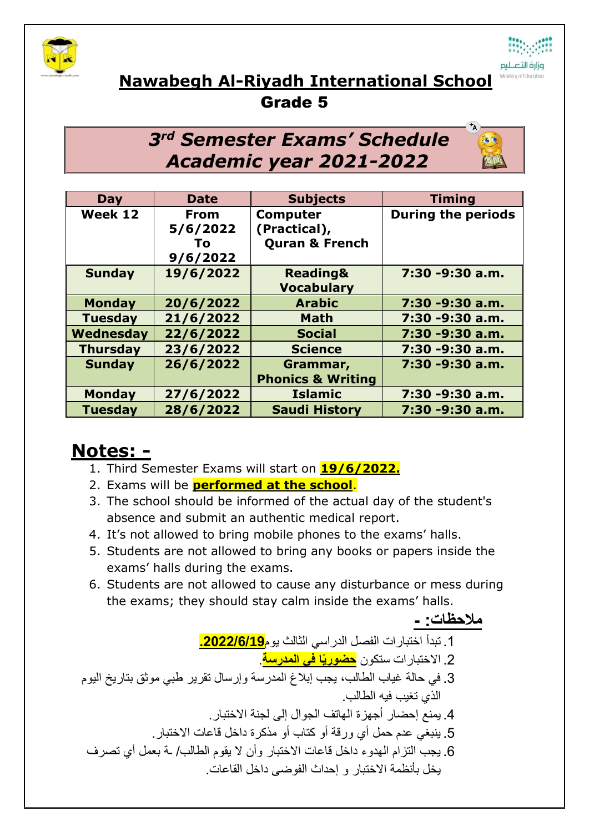



## **Nawabegh Al-Riyadh International School**

## Grade 5

## *3 rd Semester Exams' Schedule Academic year 2021-2022*

| <b>Day</b>      | <b>Date</b> | <b>Subjects</b>              | <b>Timing</b>             |
|-----------------|-------------|------------------------------|---------------------------|
| Week 12         | <b>From</b> | <b>Computer</b>              | <b>During the periods</b> |
|                 | 5/6/2022    | (Practical),                 |                           |
|                 | To:         | <b>Quran &amp; French</b>    |                           |
|                 | 9/6/2022    |                              |                           |
| <b>Sunday</b>   | 19/6/2022   | <b>Reading&amp;</b>          | 7:30 -9:30 a.m.           |
|                 |             | <b>Vocabulary</b>            |                           |
| <b>Monday</b>   | 20/6/2022   | <b>Arabic</b>                | 7:30 -9:30 a.m.           |
| <b>Tuesday</b>  | 21/6/2022   | <b>Math</b>                  | 7:30 -9:30 a.m.           |
| Wednesday       | 22/6/2022   | <b>Social</b>                | 7:30 -9:30 a.m.           |
| <b>Thursday</b> | 23/6/2022   | <b>Science</b>               | 7:30 -9:30 a.m.           |
| <b>Sunday</b>   | 26/6/2022   | Grammar,                     | 7:30 -9:30 a.m.           |
|                 |             | <b>Phonics &amp; Writing</b> |                           |
| <b>Monday</b>   | 27/6/2022   | <b>Islamic</b>               | 7:30 -9:30 a.m.           |
| <b>Tuesday</b>  | 28/6/2022   | <b>Saudi History</b>         | 7:30 -9:30 a.m.           |

## **Notes: -**

- 1. Third Semester Exams will start on **19/6/2022.**
- 2. Exams will be **performed at the school**.
- 3. The school should be informed of the actual day of the student's absence and submit an authentic medical report.
- 4. It's not allowed to bring mobile phones to the exams' halls.
- 5. Students are not allowed to bring any books or papers inside the exams' halls during the exams.
- 6. Students are not allowed to cause any disturbance or mess during the exams; they should stay calm inside the exams' halls.

**مالحظات: -** .1 تبدأ اختبارات الفصل الدراسي الثالث يوم**.2022/6/19** .2 االختبارات ستكون **حضوريًا في المدرسة**. .3 في حالة غياب الطالب، يجب إبالغ المدرسة وإرسال تقرير طبي موثق بتاريخ اليوم الذي تغيب فيه الطالب. .4 يمنع إحضار أجهزة الهاتف الجوال إلى لجنة االختبار. .5 ينبغي عدم حمل أي ورقة أو كتاب أو مذكرة داخل قاعات االختبار. .6 يجب التزام الهدوء داخل قاعات االختبار وأن ال يقوم الطالب/ ـة بعمل أي تصرف يخل بأنظمة االختبار و إحداث الفوضى داخل القاعات.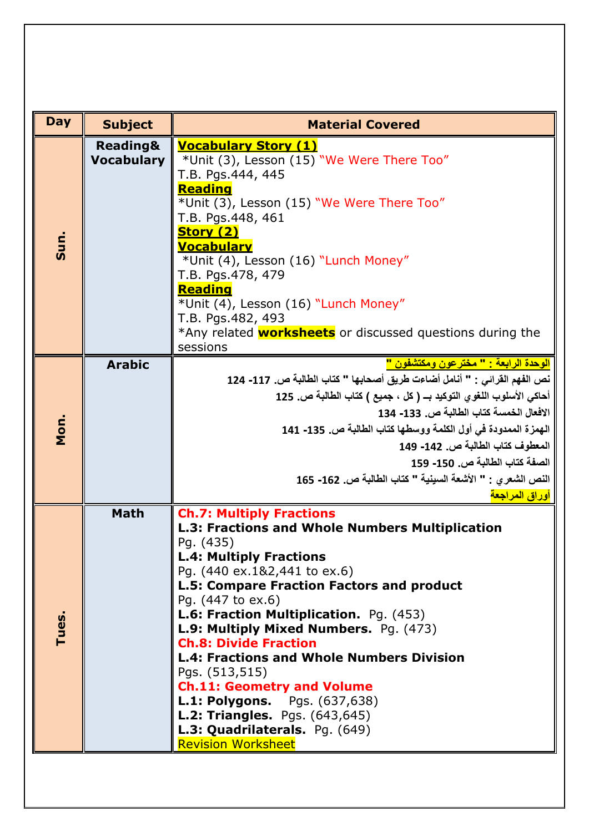| <b>Day</b> | <b>Subject</b>                           | <b>Material Covered</b>                                                                                                                                                                                                                                                                                                                                                                                                                                                                                                                                                                                             |  |  |
|------------|------------------------------------------|---------------------------------------------------------------------------------------------------------------------------------------------------------------------------------------------------------------------------------------------------------------------------------------------------------------------------------------------------------------------------------------------------------------------------------------------------------------------------------------------------------------------------------------------------------------------------------------------------------------------|--|--|
| Sun.       | <b>Reading&amp;</b><br><b>Vocabulary</b> | <b>Vocabulary Story (1)</b><br>*Unit (3), Lesson (15) "We Were There Too"<br>T.B. Pgs.444, 445<br>Reading<br>*Unit (3), Lesson (15) "We Were There Too"<br>T.B. Pgs.448, 461<br><b>Story (2)</b><br><u>Vocabulary</u><br>*Unit (4), Lesson (16) "Lunch Money"<br>T.B. Pgs.478, 479<br><b>Reading</b><br>*Unit (4), Lesson (16) "Lunch Money"<br>T.B. Pgs.482, 493<br>*Any related <b>worksheets</b> or discussed questions during the<br>sessions                                                                                                                                                                   |  |  |
| Mon.       | <b>Arabic</b>                            | الوحدة الرابعة : " مختر عون ومكتشفون "<br>نص الفهم القرائي : " أنامل أضاءت طريق أصحابها " كتاب الطالبة ص. 117- 124<br>أحاكي الأسلوب اللغوي التوكيد بـ ( كل ، جميع ) كتاب الطالبة ص. 125<br>الافعال الخمسة كتاب الطالبة ص. 133- 134<br>الهمزة الممدودة في أول الكلمة ووسطها كتاب الطالبة ص. 135- 141<br>المعطوف كتاب الطالبة ص. 142- 149<br>الصفة كتاب الطالبة ص. 150- 159<br>النص الشعرى : " الأشعة السينية " كتاب الطالبة ص. 162- 165<br>أوراق المراجعة                                                                                                                                                            |  |  |
| Tues.      | <b>Math</b>                              | <b>Ch.7: Multiply Fractions</b><br>L.3: Fractions and Whole Numbers Multiplication<br>Pg. (435)<br><b>L.4: Multiply Fractions</b><br>Pg. (440 ex.1&2,441 to ex.6)<br>L.5: Compare Fraction Factors and product<br>Pg. (447 to ex.6)<br>L.6: Fraction Multiplication. Pg. (453)<br>L.9: Multiply Mixed Numbers. Pg. (473)<br><b>Ch.8: Divide Fraction</b><br><b>L.4: Fractions and Whole Numbers Division</b><br>Pgs. (513,515)<br><b>Ch.11: Geometry and Volume</b><br><b>L.1: Polygons.</b> Pgs. (637,638)<br><b>L.2: Triangles.</b> Pgs. (643,645)<br>L.3: Quadrilaterals. Pg. (649)<br><b>Revision Worksheet</b> |  |  |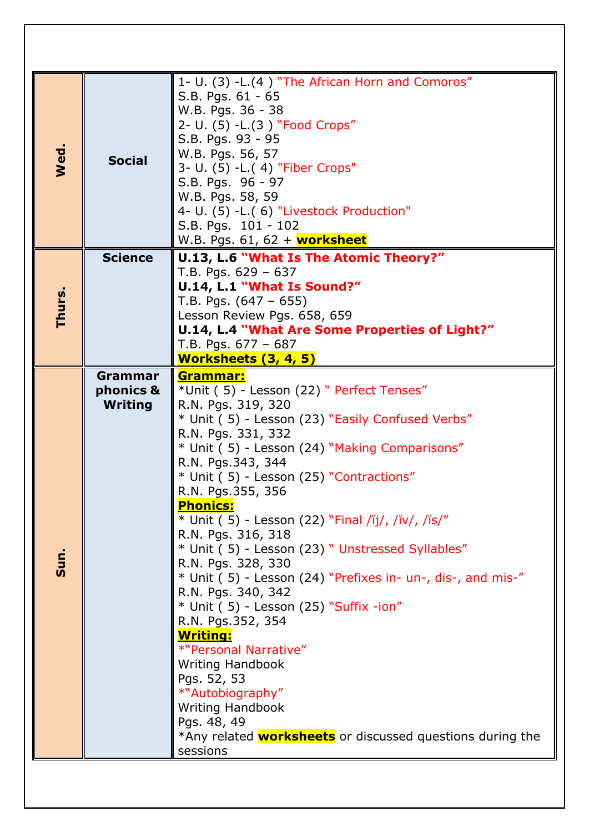| 1- U. (3) -L.(4) "The African Horn and Comoros"           |                                                                  |  |
|-----------------------------------------------------------|------------------------------------------------------------------|--|
| S.B. Pgs. 61 - 65                                         |                                                                  |  |
| W.B. Pgs. 36 - 38                                         |                                                                  |  |
| 2- U. (5) - L. (3) "Food Crops"                           |                                                                  |  |
| S.B. Pgs. 93 - 95                                         |                                                                  |  |
| W.B. Pgs. 56, 57                                          |                                                                  |  |
| Wed.<br><b>Social</b><br>3- U. (5) - L. (4) "Fiber Crops" |                                                                  |  |
| S.B. Pgs. 96 - 97                                         |                                                                  |  |
| W.B. Pgs. 58, 59                                          |                                                                  |  |
| 4- U. (5) -L.( 6) "Livestock Production"                  |                                                                  |  |
| S.B. Pgs. 101 - 102                                       |                                                                  |  |
| W.B. Pgs. 61, 62 + worksheet                              |                                                                  |  |
| <b>Science</b><br>U.13, L.6 "What Is The Atomic Theory?"  |                                                                  |  |
| T.B. Pgs. $629 - 637$                                     |                                                                  |  |
| U.14, L.1 "What Is Sound?"                                |                                                                  |  |
| T.B. Pgs. $(647 - 655)$                                   |                                                                  |  |
| Thurs.<br>Lesson Review Pgs. 658, 659                     |                                                                  |  |
|                                                           | U.14, L.4 "What Are Some Properties of Light?"                   |  |
| T.B. Pgs. $677 - 687$                                     |                                                                  |  |
| Worksheets (3, 4, 5)                                      |                                                                  |  |
| Grammar<br>Grammar:                                       |                                                                  |  |
| *Unit (5) - Lesson (22) " Perfect Tenses"<br>phonics &    |                                                                  |  |
| <b>Writing</b><br>R.N. Pgs. 319, 320                      |                                                                  |  |
| * Unit (5) - Lesson (23) "Easily Confused Verbs"          |                                                                  |  |
| R.N. Pgs. 331, 332                                        |                                                                  |  |
| * Unit (5) - Lesson (24) "Making Comparisons"             |                                                                  |  |
| R.N. Pgs.343, 344                                         |                                                                  |  |
| * Unit (5) - Lesson (25) "Contractions"                   |                                                                  |  |
| R.N. Pgs.355, 356                                         |                                                                  |  |
| <b>Phonics:</b>                                           |                                                                  |  |
| * Unit (5) - Lesson (22) "Final /ĭj/, /ĭv/, /ĭs/"         |                                                                  |  |
| R.N. Pgs. 316, 318                                        |                                                                  |  |
| * Unit (5) - Lesson (23) "Unstressed Syllables"           |                                                                  |  |
| Sun.<br>R.N. Pgs. 328, 330                                |                                                                  |  |
|                                                           | $*$ Unit (5) - Lesson (24) "Prefixes in- un-, dis-, and mis-"    |  |
| R.N. Pgs. 340, 342                                        |                                                                  |  |
| $*$ Unit (5) - Lesson (25) "Suffix -ion"                  |                                                                  |  |
| R.N. Pgs.352, 354                                         |                                                                  |  |
| <u>Writing:</u>                                           |                                                                  |  |
| *"Personal Narrative"                                     |                                                                  |  |
| <b>Writing Handbook</b>                                   |                                                                  |  |
| Pgs. 52, 53                                               |                                                                  |  |
| *"Autobiography"                                          |                                                                  |  |
| <b>Writing Handbook</b>                                   |                                                                  |  |
| Pgs. 48, 49                                               |                                                                  |  |
|                                                           | *Any related <b>worksheets</b> or discussed questions during the |  |
|                                                           |                                                                  |  |
| sessions                                                  |                                                                  |  |